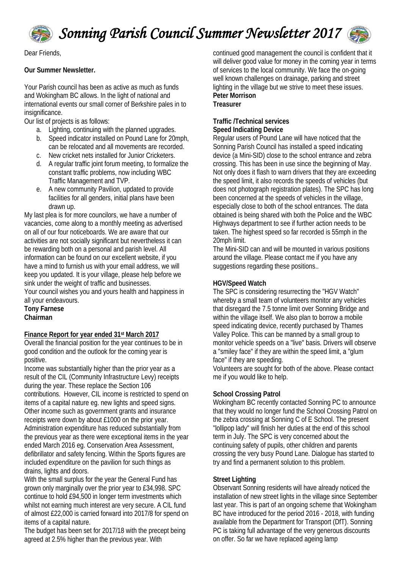

*Sonning Parish Council Summer Newsletter 2017*



Dear Friends,

# **Our Summer Newsletter.**

Your Parish council has been as active as much as funds and Wokingham BC allows. In the light of national and international events our small corner of Berkshire pales in to insignificance.

Our list of projects is as follows:

- a. Lighting, continuing with the planned upgrades.
- b. Speed indicator installed on Pound Lane for 20mph, can be relocated and all movements are recorded.
- c. New cricket nets installed for Junior Cricketers.
- d. A regular traffic joint forum meeting, to formalize the constant traffic problems, now including WBC Traffic Management and TVP.
- e. A new community Pavilion, updated to provide facilities for all genders, initial plans have been drawn up.

My last plea is for more councilors, we have a number of vacancies, come along to a monthly meeting as advertised on all of our four noticeboards. We are aware that our activities are not socially significant but nevertheless it can be rewarding both on a personal and parish level. All information can be found on our excellent website, if you have a mind to furnish us with your email address, we will keep you updated. It is your village, please help before we sink under the weight of traffic and businesses.

Your council wishes you and yours health and happiness in all your endeavours.

**Tony Farnese Chairman**

### **Finance Report for year ended 31st March 2017**

Overall the financial position for the year continues to be in good condition and the outlook for the coming year is positive.

Income was substantially higher than the prior year as a result of the CIL (Community Infrastructure Levy) receipts during the year. These replace the Section 106 contributions. However, CIL income is restricted to spend on items of a capital nature eg. new lights and speed signs. Other income such as government grants and insurance receipts were down by about £1000 on the prior year. Administration expenditure has reduced substantially from the previous year as there were exceptional items in the year ended March 2016 eg. Conservation Area Assessment, defibrillator and safety fencing. Within the Sports figures are included expenditure on the pavilion for such things as drains, lights and doors.

With the small surplus for the year the General Fund has grown only marginally over the prior year to £34,998. SPC continue to hold £94,500 in longer term investments which whilst not earning much interest are very secure. A CIL fund of almost £22,000 is carried forward into 2017/8 for spend on items of a capital nature.

The budget has been set for 2017/18 with the precept being agreed at 2.5% higher than the previous year. With

continued good management the council is confident that it will deliver good value for money in the coming year in terms of services to the local community. We face the on-going well known challenges on drainage, parking and street lighting in the village but we strive to meet these issues. **Peter Morrison Treasurer** 

## **Traffic /Technical services Speed Indicating Device**

Regular users of Pound Lane will have noticed that the Sonning Parish Council has installed a speed indicating device (a Mini-SID) close to the school entrance and zebra crossing. This has been in use since the beginning of May. Not only does it flash to warn drivers that they are exceeding the speed limit, it also records the speeds of vehicles (but does not photograph registration plates). The SPC has long been concerned at the speeds of vehicles in the village, especially close to both of the school entrances. The data obtained is being shared with both the Police and the WBC Highways department to see if further action needs to be taken. The highest speed so far recorded is 55mph in the 20mph limit.

The Mini-SID can and will be mounted in various positions around the village. Please contact me if you have any suggestions regarding these positions..

# **HGV/Speed Watch**

The SPC is considering resurrecting the "HGV Watch" whereby a small team of volunteers monitor any vehicles that disregard the 7.5 tonne limit over Sonning Bridge and within the village itself. We also plan to borrow a mobile speed indicating device, recently purchased by Thames Valley Police. This can be manned by a small group to monitor vehicle speeds on a "live" basis. Drivers will observe a "smiley face" if they are within the speed limit, a "glum face" if they are speeding.

Volunteers are sought for both of the above. Please contact me if you would like to help.

### **School Crossing Patrol**

Wokingham BC recently contacted Sonning PC to announce that they would no longer fund the School Crossing Patrol on the zebra crossing at Sonning C of E School. The present "lollipop lady" will finish her duties at the end of this school term in July. The SPC is very concerned about the continuing safety of pupils, other children and parents crossing the very busy Pound Lane. Dialogue has started to try and find a permanent solution to this problem.

### **Street Lighting**

Observant Sonning residents will have already noticed the installation of new street lights in the village since September last year. This is part of an ongoing scheme that Wokingham BC have introduced for the period 2016 - 2018, with funding available from the Department for Transport (DfT). Sonning PC is taking full advantage of the very generous discounts on offer. So far we have replaced ageing lamp